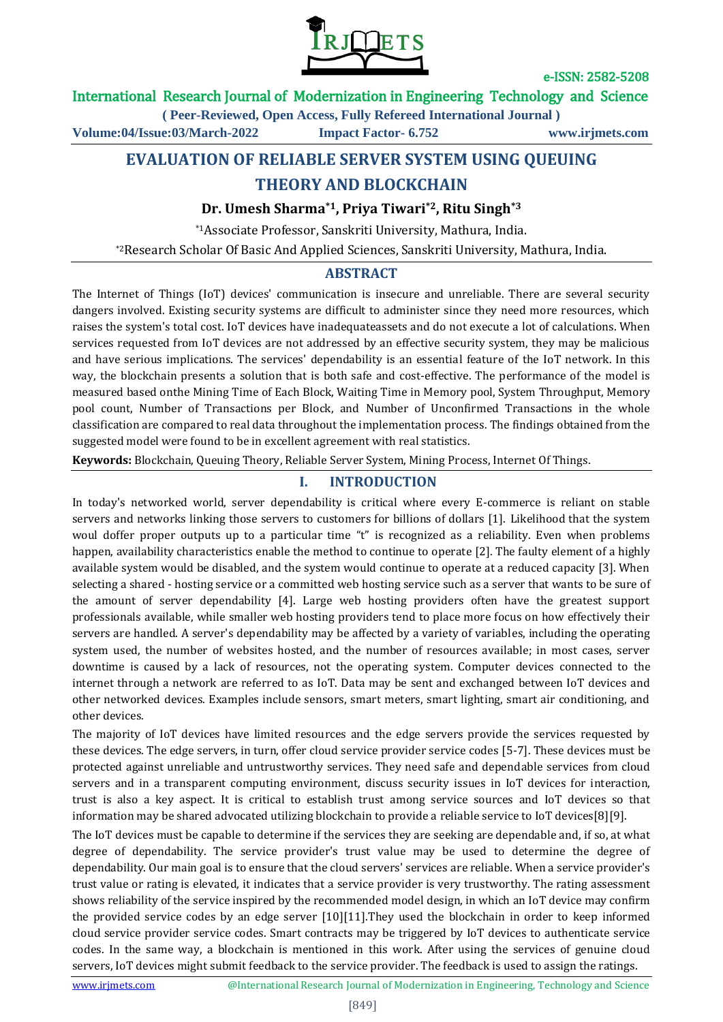

### International Research Journal of Modernization in Engineering Technology and Science

**( Peer-Reviewed, Open Access, Fully Refereed International Journal )**

**Volume:04/Issue:03/March-2022 Impact Factor- 6.752 www.irjmets.com**

# **EVALUATION OF RELIABLE SERVER SYSTEM USING QUEUING**

# **THEORY AND BLOCKCHAIN**

### **Dr. Umesh Sharma\*1, Priya Tiwari\*2, Ritu Singh\*3**

\*1Associate Professor, Sanskriti University, Mathura, India.

\*2Research Scholar Of Basic And Applied Sciences, Sanskriti University, Mathura, India.

### **ABSTRACT**

The Internet of Things (IoT) devices' communication is insecure and unreliable. There are several security dangers involved. Existing security systems are difficult to administer since they need more resources, which raises the system's total cost. IoT devices have inadequateassets and do not execute a lot of calculations. When services requested from IoT devices are not addressed by an effective security system, they may be malicious and have serious implications. The services' dependability is an essential feature of the IoT network. In this way, the blockchain presents a solution that is both safe and cost-effective. The performance of the model is measured based onthe Mining Time of Each Block, Waiting Time in Memory pool, System Throughput, Memory pool count, Number of Transactions per Block, and Number of Unconfirmed Transactions in the whole classification are compared to real data throughout the implementation process. The findings obtained from the suggested model were found to be in excellent agreement with real statistics.

**Keywords:** Blockchain, Queuing Theory, Reliable Server System, Mining Process, Internet Of Things.

### **I. INTRODUCTION**

In today's networked world, server dependability is critical where every E-commerce is reliant on stable servers and networks linking those servers to customers for billions of dollars [1]. Likelihood that the system woul doffer proper outputs up to a particular time "t" is recognized as a reliability. Even when problems happen, availability characteristics enable the method to continue to operate [2]. The faulty element of a highly available system would be disabled, and the system would continue to operate at a reduced capacity [3]. When selecting a shared - hosting service or a committed web hosting service such as a server that wants to be sure of the amount of server dependability [4]. Large web hosting providers often have the greatest support professionals available, while smaller web hosting providers tend to place more focus on how effectively their servers are handled. A server's dependability may be affected by a variety of variables, including the operating system used, the number of websites hosted, and the number of resources available; in most cases, server downtime is caused by a lack of resources, not the operating system. Computer devices connected to the internet through a network are referred to as IoT. Data may be sent and exchanged between IoT devices and other networked devices. Examples include sensors, smart meters, smart lighting, smart air conditioning, and other devices.

The majority of IoT devices have limited resources and the edge servers provide the services requested by these devices. The edge servers, in turn, offer cloud service provider service codes [5-7]. These devices must be protected against unreliable and untrustworthy services. They need safe and dependable services from cloud servers and in a transparent computing environment, discuss security issues in IoT devices for interaction, trust is also a key aspect. It is critical to establish trust among service sources and IoT devices so that information may be shared advocated utilizing blockchain to provide a reliable service to IoT devices[8][9].

The IoT devices must be capable to determine if the services they are seeking are dependable and, if so, at what degree of dependability. The service provider's trust value may be used to determine the degree of dependability. Our main goal is to ensure that the cloud servers' services are reliable. When a service provider's trust value or rating is elevated, it indicates that a service provider is very trustworthy. The rating assessment shows reliability of the service inspired by the recommended model design, in which an IoT device may confirm the provided service codes by an edge server [10][11].They used the blockchain in order to keep informed cloud service provider service codes. Smart contracts may be triggered by IoT devices to authenticate service codes. In the same way, a blockchain is mentioned in this work. After using the services of genuine cloud servers, IoT devices might submit feedback to the service provider. The feedback is used to assign the ratings.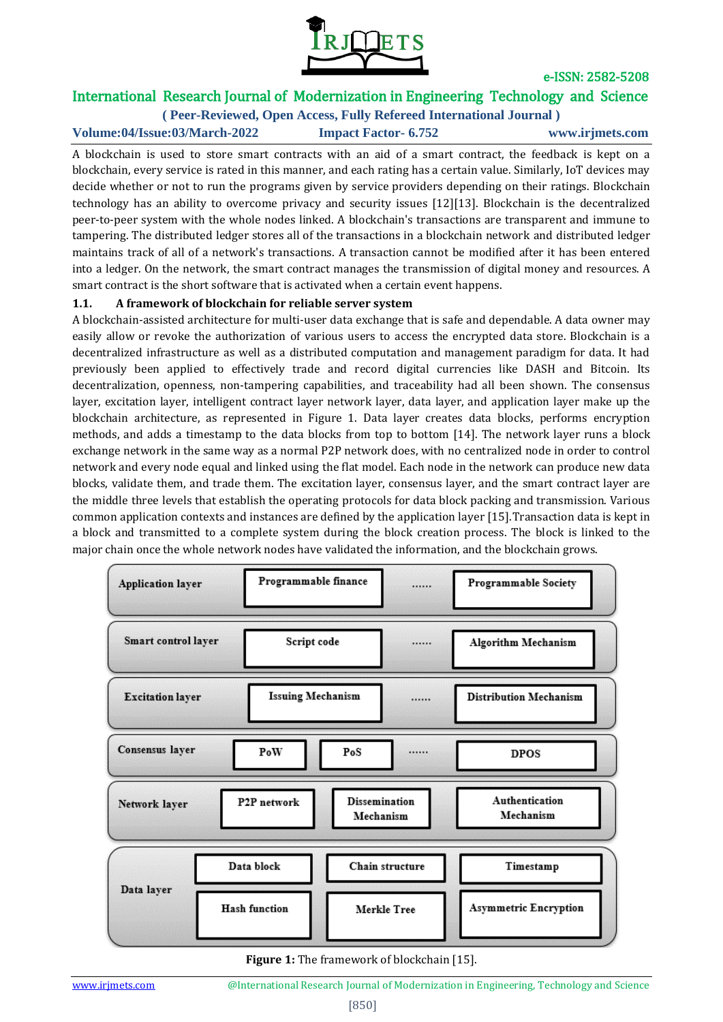

# International Research Journal of Modernization in Engineering Technology and Science

**( Peer-Reviewed, Open Access, Fully Refereed International Journal ) Volume:04/Issue:03/March-2022 Impact Factor- 6.752 www.irjmets.com**

A blockchain is used to store smart contracts with an aid of a smart contract, the feedback is kept on a blockchain, every service is rated in this manner, and each rating has a certain value. Similarly, IoT devices may decide whether or not to run the programs given by service providers depending on their ratings. Blockchain technology has an ability to overcome privacy and security issues [12][13]. Blockchain is the decentralized peer-to-peer system with the whole nodes linked. A blockchain's transactions are transparent and immune to tampering. The distributed ledger stores all of the transactions in a blockchain network and distributed ledger maintains track of all of a network's transactions. A transaction cannot be modified after it has been entered into a ledger. On the network, the smart contract manages the transmission of digital money and resources. A smart contract is the short software that is activated when a certain event happens.

#### **1.1. A framework of blockchain for reliable server system**

A blockchain-assisted architecture for multi-user data exchange that is safe and dependable. A data owner may easily allow or revoke the authorization of various users to access the encrypted data store. Blockchain is a decentralized infrastructure as well as a distributed computation and management paradigm for data. It had previously been applied to effectively trade and record digital currencies like DASH and Bitcoin. Its decentralization, openness, non-tampering capabilities, and traceability had all been shown. The consensus layer, excitation layer, intelligent contract layer network layer, data layer, and application layer make up the blockchain architecture, as represented in Figure 1. Data layer creates data blocks, performs encryption methods, and adds a timestamp to the data blocks from top to bottom [14]. The network layer runs a block exchange network in the same way as a normal P2P network does, with no centralized node in order to control network and every node equal and linked using the flat model. Each node in the network can produce new data blocks, validate them, and trade them. The excitation layer, consensus layer, and the smart contract layer are the middle three levels that establish the operating protocols for data block packing and transmission. Various common application contexts and instances are defined by the application layer [15].Transaction data is kept in a block and transmitted to a complete system during the block creation process. The block is linked to the major chain once the whole network nodes have validated the information, and the blockchain grows.



**Figure 1:** The framework of blockchain [15].

www.irimets.com <sup>@International Research Journal of Modernization in Engineering, Technology and Science</sup>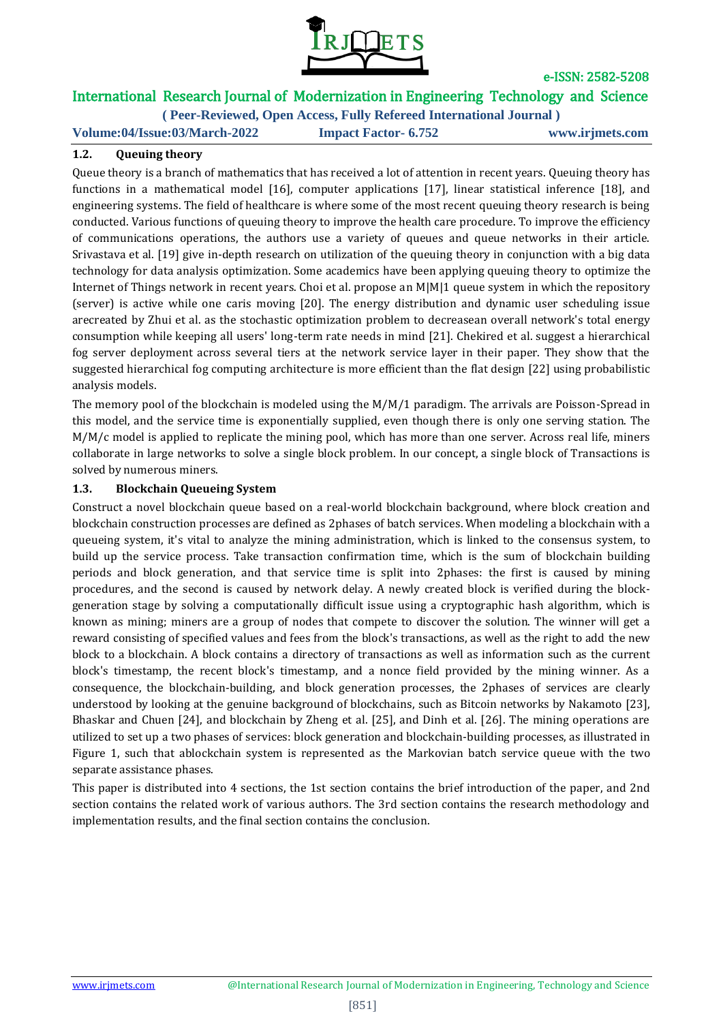

# International Research Journal of Modernization in Engineering Technology and Science

**( Peer-Reviewed, Open Access, Fully Refereed International Journal ) Volume:04/Issue:03/March-2022 Impact Factor- 6.752 www.irjmets.com**

#### **1.2. Queuing theory**

Queue theory is a branch of mathematics that has received a lot of attention in recent years. Queuing theory has functions in a mathematical model [16], computer applications [17], linear statistical inference [18], and engineering systems. The field of healthcare is where some of the most recent queuing theory research is being conducted. Various functions of queuing theory to improve the health care procedure. To improve the efficiency of communications operations, the authors use a variety of queues and queue networks in their article. Srivastava et al. [19] give in-depth research on utilization of the queuing theory in conjunction with a big data technology for data analysis optimization. Some academics have been applying queuing theory to optimize the Internet of Things network in recent years. Choi et al. propose an M|M|1 queue system in which the repository (server) is active while one caris moving [20]. The energy distribution and dynamic user scheduling issue arecreated by Zhui et al. as the stochastic optimization problem to decreasean overall network's total energy consumption while keeping all users' long-term rate needs in mind [21]. Chekired et al. suggest a hierarchical fog server deployment across several tiers at the network service layer in their paper. They show that the suggested hierarchical fog computing architecture is more efficient than the flat design [22] using probabilistic analysis models.

The memory pool of the blockchain is modeled using the M/M/1 paradigm. The arrivals are Poisson-Spread in this model, and the service time is exponentially supplied, even though there is only one serving station. The M/M/c model is applied to replicate the mining pool, which has more than one server. Across real life, miners collaborate in large networks to solve a single block problem. In our concept, a single block of Transactions is solved by numerous miners.

#### **1.3. Blockchain Queueing System**

Construct a novel blockchain queue based on a real-world blockchain background, where block creation and blockchain construction processes are defined as 2phases of batch services. When modeling a blockchain with a queueing system, it's vital to analyze the mining administration, which is linked to the consensus system, to build up the service process. Take transaction confirmation time, which is the sum of blockchain building periods and block generation, and that service time is split into 2phases: the first is caused by mining procedures, and the second is caused by network delay. A newly created block is verified during the blockgeneration stage by solving a computationally difficult issue using a cryptographic hash algorithm, which is known as mining; miners are a group of nodes that compete to discover the solution. The winner will get a reward consisting of specified values and fees from the block's transactions, as well as the right to add the new block to a blockchain. A block contains a directory of transactions as well as information such as the current block's timestamp, the recent block's timestamp, and a nonce field provided by the mining winner. As a consequence, the blockchain-building, and block generation processes, the 2phases of services are clearly understood by looking at the genuine background of blockchains, such as Bitcoin networks by Nakamoto [23], Bhaskar and Chuen [24], and blockchain by Zheng et al. [25], and Dinh et al. [26]. The mining operations are utilized to set up a two phases of services: block generation and blockchain-building processes, as illustrated in Figure 1, such that ablockchain system is represented as the Markovian batch service queue with the two separate assistance phases.

This paper is distributed into 4 sections, the 1st section contains the brief introduction of the paper, and 2nd section contains the related work of various authors. The 3rd section contains the research methodology and implementation results, and the final section contains the conclusion.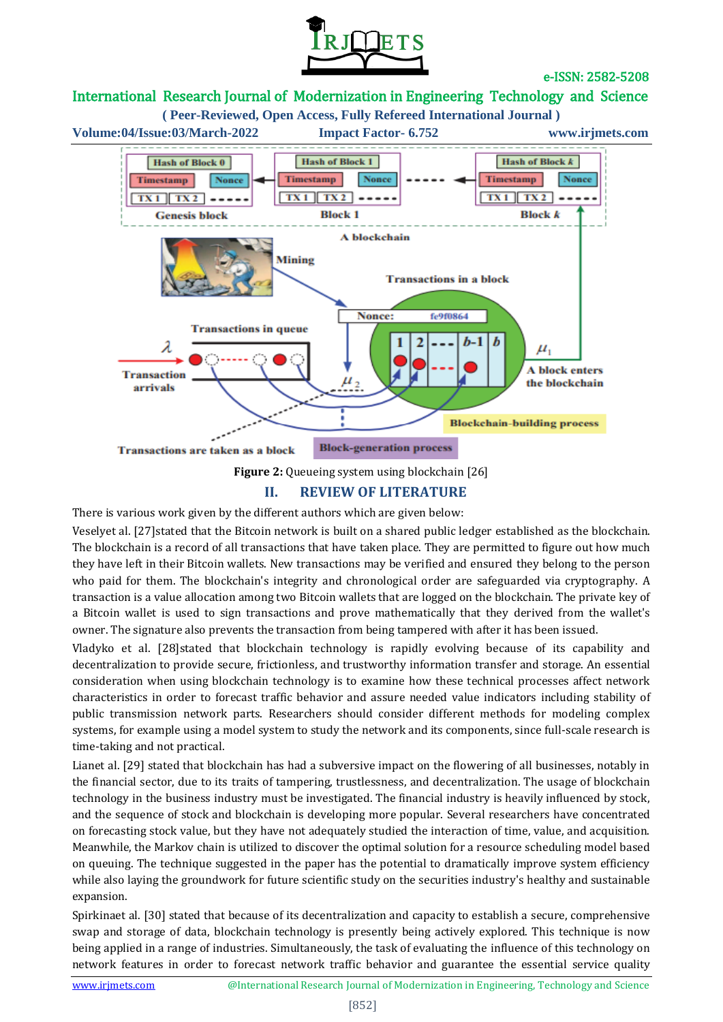



### **II. REVIEW OF LITERATURE**

There is various work given by the different authors which are given below:

Veselyet al. [27]stated that the Bitcoin network is built on a shared public ledger established as the blockchain. The blockchain is a record of all transactions that have taken place. They are permitted to figure out how much they have left in their Bitcoin wallets. New transactions may be verified and ensured they belong to the person who paid for them. The blockchain's integrity and chronological order are safeguarded via cryptography. A transaction is a value allocation among two Bitcoin wallets that are logged on the blockchain. The private key of a Bitcoin wallet is used to sign transactions and prove mathematically that they derived from the wallet's owner. The signature also prevents the transaction from being tampered with after it has been issued.

Vladyko et al. [28]stated that blockchain technology is rapidly evolving because of its capability and decentralization to provide secure, frictionless, and trustworthy information transfer and storage. An essential consideration when using blockchain technology is to examine how these technical processes affect network characteristics in order to forecast traffic behavior and assure needed value indicators including stability of public transmission network parts. Researchers should consider different methods for modeling complex systems, for example using a model system to study the network and its components, since full-scale research is time-taking and not practical.

Lianet al. [29] stated that blockchain has had a subversive impact on the flowering of all businesses, notably in the financial sector, due to its traits of tampering, trustlessness, and decentralization. The usage of blockchain technology in the business industry must be investigated. The financial industry is heavily influenced by stock, and the sequence of stock and blockchain is developing more popular. Several researchers have concentrated on forecasting stock value, but they have not adequately studied the interaction of time, value, and acquisition. Meanwhile, the Markov chain is utilized to discover the optimal solution for a resource scheduling model based on queuing. The technique suggested in the paper has the potential to dramatically improve system efficiency while also laying the groundwork for future scientific study on the securities industry's healthy and sustainable expansion.

Spirkinaet al. [30] stated that because of its decentralization and capacity to establish a secure, comprehensive swap and storage of data, blockchain technology is presently being actively explored. This technique is now being applied in a range of industries. Simultaneously, the task of evaluating the influence of this technology on network features in order to forecast network traffic behavior and guarantee the essential service quality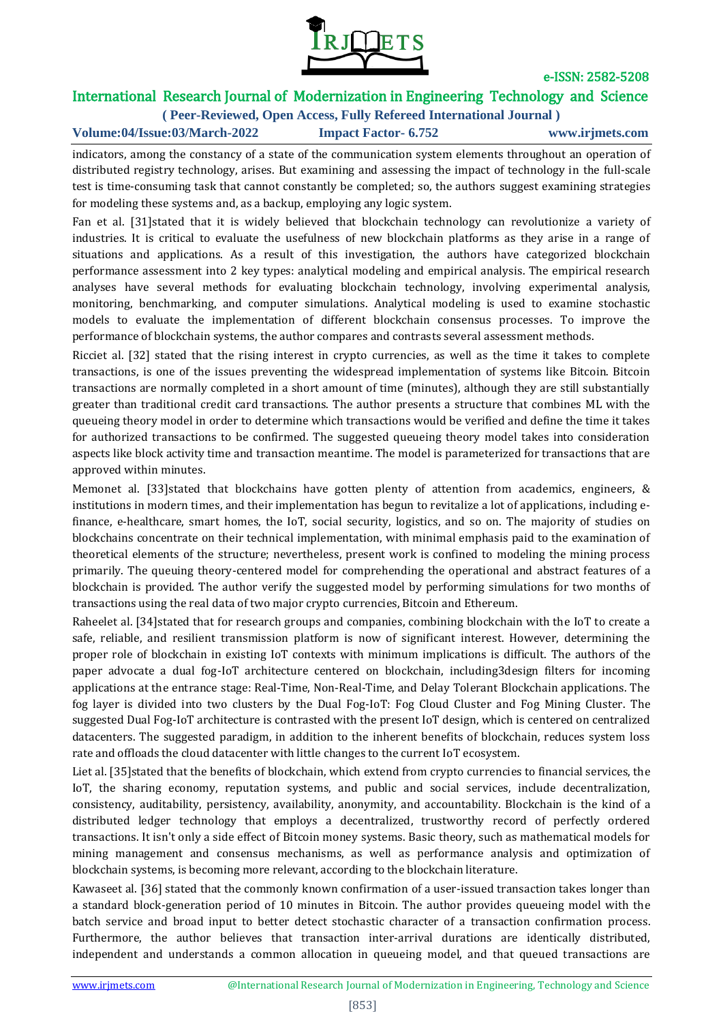

# International Research Journal of Modernization in Engineering Technology and Science

**( Peer-Reviewed, Open Access, Fully Refereed International Journal ) Volume:04/Issue:03/March-2022 Impact Factor- 6.752 www.irjmets.com**

indicators, among the constancy of a state of the communication system elements throughout an operation of distributed registry technology, arises. But examining and assessing the impact of technology in the full-scale test is time-consuming task that cannot constantly be completed; so, the authors suggest examining strategies for modeling these systems and, as a backup, employing any logic system.

Fan et al. [31]stated that it is widely believed that blockchain technology can revolutionize a variety of industries. It is critical to evaluate the usefulness of new blockchain platforms as they arise in a range of situations and applications. As a result of this investigation, the authors have categorized blockchain performance assessment into 2 key types: analytical modeling and empirical analysis. The empirical research analyses have several methods for evaluating blockchain technology, involving experimental analysis, monitoring, benchmarking, and computer simulations. Analytical modeling is used to examine stochastic models to evaluate the implementation of different blockchain consensus processes. To improve the performance of blockchain systems, the author compares and contrasts several assessment methods.

Ricciet al. [32] stated that the rising interest in crypto currencies, as well as the time it takes to complete transactions, is one of the issues preventing the widespread implementation of systems like Bitcoin. Bitcoin transactions are normally completed in a short amount of time (minutes), although they are still substantially greater than traditional credit card transactions. The author presents a structure that combines ML with the queueing theory model in order to determine which transactions would be verified and define the time it takes for authorized transactions to be confirmed. The suggested queueing theory model takes into consideration aspects like block activity time and transaction meantime. The model is parameterized for transactions that are approved within minutes.

Memonet al. [33]stated that blockchains have gotten plenty of attention from academics, engineers, & institutions in modern times, and their implementation has begun to revitalize a lot of applications, including efinance, e-healthcare, smart homes, the IoT, social security, logistics, and so on. The majority of studies on blockchains concentrate on their technical implementation, with minimal emphasis paid to the examination of theoretical elements of the structure; nevertheless, present work is confined to modeling the mining process primarily. The queuing theory-centered model for comprehending the operational and abstract features of a blockchain is provided. The author verify the suggested model by performing simulations for two months of transactions using the real data of two major crypto currencies, Bitcoin and Ethereum.

Raheelet al. [34]stated that for research groups and companies, combining blockchain with the IoT to create a safe, reliable, and resilient transmission platform is now of significant interest. However, determining the proper role of blockchain in existing IoT contexts with minimum implications is difficult. The authors of the paper advocate a dual fog-IoT architecture centered on blockchain, including3design filters for incoming applications at the entrance stage: Real-Time, Non-Real-Time, and Delay Tolerant Blockchain applications. The fog layer is divided into two clusters by the Dual Fog-IoT: Fog Cloud Cluster and Fog Mining Cluster. The suggested Dual Fog-IoT architecture is contrasted with the present IoT design, which is centered on centralized datacenters. The suggested paradigm, in addition to the inherent benefits of blockchain, reduces system loss rate and offloads the cloud datacenter with little changes to the current IoT ecosystem.

Liet al. [35] stated that the benefits of blockchain, which extend from crypto currencies to financial services, the IoT, the sharing economy, reputation systems, and public and social services, include decentralization, consistency, auditability, persistency, availability, anonymity, and accountability. Blockchain is the kind of a distributed ledger technology that employs a decentralized, trustworthy record of perfectly ordered transactions. It isn't only a side effect of Bitcoin money systems. Basic theory, such as mathematical models for mining management and consensus mechanisms, as well as performance analysis and optimization of blockchain systems, is becoming more relevant, according to the blockchain literature.

Kawaseet al. [36] stated that the commonly known confirmation of a user-issued transaction takes longer than a standard block-generation period of 10 minutes in Bitcoin. The author provides queueing model with the batch service and broad input to better detect stochastic character of a transaction confirmation process. Furthermore, the author believes that transaction inter-arrival durations are identically distributed, independent and understands a common allocation in queueing model, and that queued transactions are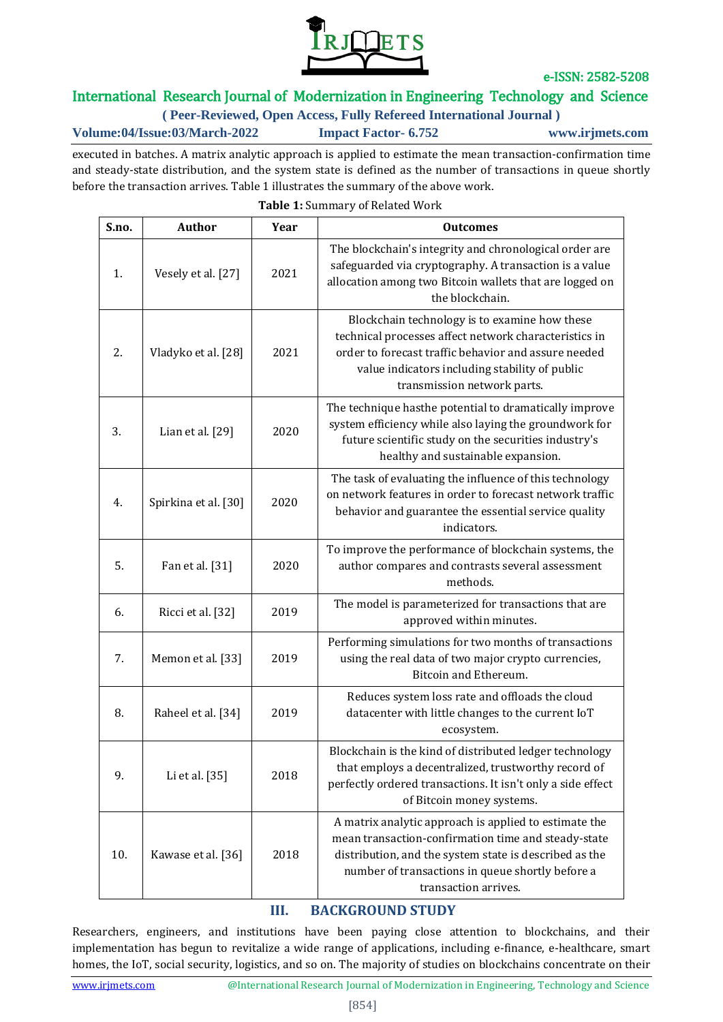

# International Research Journal of Modernization in Engineering Technology and Science

**( Peer-Reviewed, Open Access, Fully Refereed International Journal )**

**Volume:04/Issue:03/March-2022 Impact Factor- 6.752 www.irjmets.com**

executed in batches. A matrix analytic approach is applied to estimate the mean transaction-confirmation time and steady-state distribution, and the system state is defined as the number of transactions in queue shortly before the transaction arrives. Table 1 illustrates the summary of the above work.

| S.no. | <b>Author</b>        | Year | <b>Outcomes</b>                                                                                                                                                                                                                                    |
|-------|----------------------|------|----------------------------------------------------------------------------------------------------------------------------------------------------------------------------------------------------------------------------------------------------|
| 1.    | Vesely et al. [27]   | 2021 | The blockchain's integrity and chronological order are<br>safeguarded via cryptography. A transaction is a value<br>allocation among two Bitcoin wallets that are logged on<br>the blockchain.                                                     |
| 2.    | Vladyko et al. [28]  | 2021 | Blockchain technology is to examine how these<br>technical processes affect network characteristics in<br>order to forecast traffic behavior and assure needed<br>value indicators including stability of public<br>transmission network parts.    |
| 3.    | Lian et al. $[29]$   | 2020 | The technique hasthe potential to dramatically improve<br>system efficiency while also laying the groundwork for<br>future scientific study on the securities industry's<br>healthy and sustainable expansion.                                     |
| 4.    | Spirkina et al. [30] | 2020 | The task of evaluating the influence of this technology<br>on network features in order to forecast network traffic<br>behavior and guarantee the essential service quality<br>indicators.                                                         |
| 5.    | Fan et al. [31]      | 2020 | To improve the performance of blockchain systems, the<br>author compares and contrasts several assessment<br>methods.                                                                                                                              |
| 6.    | Ricci et al. [32]    | 2019 | The model is parameterized for transactions that are<br>approved within minutes.                                                                                                                                                                   |
| 7.    | Memon et al. [33]    | 2019 | Performing simulations for two months of transactions<br>using the real data of two major crypto currencies,<br>Bitcoin and Ethereum.                                                                                                              |
| 8.    | Raheel et al. [34]   | 2019 | Reduces system loss rate and offloads the cloud<br>datacenter with little changes to the current IoT<br>ecosystem.                                                                                                                                 |
| 9.    | Li et al. [35]       | 2018 | Blockchain is the kind of distributed ledger technology<br>that employs a decentralized, trustworthy record of<br>perfectly ordered transactions. It isn't only a side effect<br>of Bitcoin money systems.                                         |
| 10.   | Kawase et al. [36]   | 2018 | A matrix analytic approach is applied to estimate the<br>mean transaction-confirmation time and steady-state<br>distribution, and the system state is described as the<br>number of transactions in queue shortly before a<br>transaction arrives. |

# **Table 1:** Summary of Related Work

### **III. BACKGROUND STUDY**

Researchers, engineers, and institutions have been paying close attention to blockchains, and their implementation has begun to revitalize a wide range of applications, including e-finance, e-healthcare, smart homes, the IoT, social security, logistics, and so on. The majority of studies on blockchains concentrate on their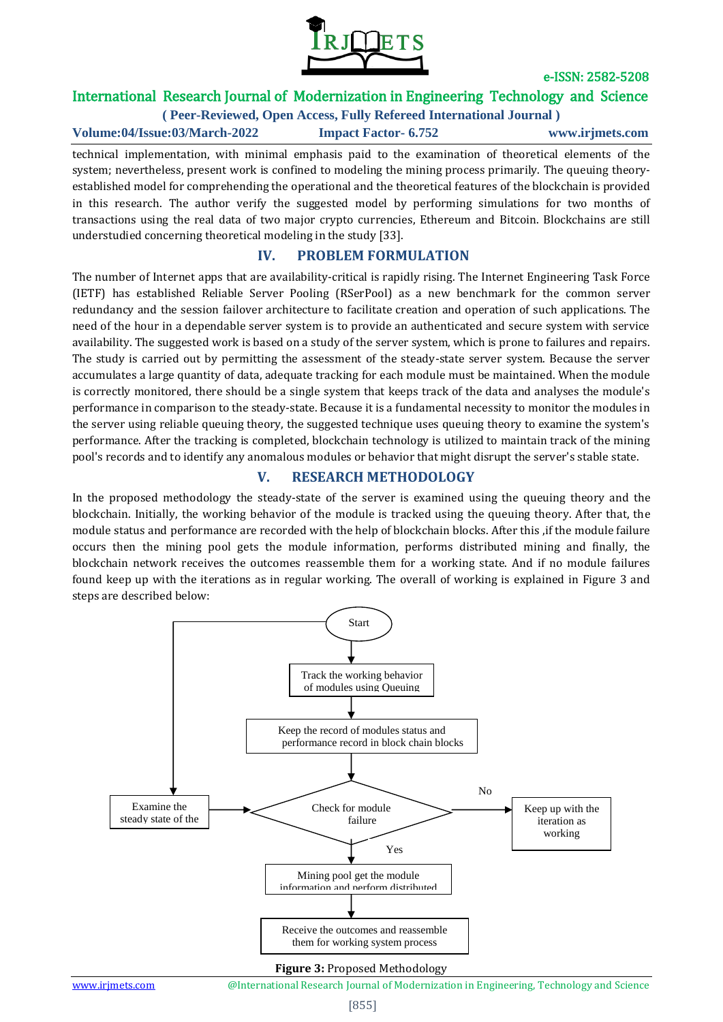

# International Research Journal of Modernization in Engineering Technology and Science

**( Peer-Reviewed, Open Access, Fully Refereed International Journal ) Volume:04/Issue:03/March-2022 Impact Factor- 6.752 www.irjmets.com**

technical implementation, with minimal emphasis paid to the examination of theoretical elements of the system; nevertheless, present work is confined to modeling the mining process primarily. The queuing theoryestablished model for comprehending the operational and the theoretical features of the blockchain is provided in this research. The author verify the suggested model by performing simulations for two months of transactions using the real data of two major crypto currencies, Ethereum and Bitcoin. Blockchains are still understudied concerning theoretical modeling in the study [33].

### **IV. PROBLEM FORMULATION**

The number of Internet apps that are availability-critical is rapidly rising. The Internet Engineering Task Force (IETF) has established Reliable Server Pooling (RSerPool) as a new benchmark for the common server redundancy and the session failover architecture to facilitate creation and operation of such applications. The need of the hour in a dependable server system is to provide an authenticated and secure system with service availability. The suggested work is based on a study of the server system, which is prone to failures and repairs. The study is carried out by permitting the assessment of the steady-state server system. Because the server accumulates a large quantity of data, adequate tracking for each module must be maintained. When the module is correctly monitored, there should be a single system that keeps track of the data and analyses the module's performance in comparison to the steady-state. Because it is a fundamental necessity to monitor the modules in the server using reliable queuing theory, the suggested technique uses queuing theory to examine the system's performance. After the tracking is completed, blockchain technology is utilized to maintain track of the mining pool's records and to identify any anomalous modules or behavior that might disrupt the server's stable state.

### **V. RESEARCH METHODOLOGY**

In the proposed methodology the steady-state of the server is examined using the queuing theory and the blockchain. Initially, the working behavior of the module is tracked using the queuing theory. After that, the module status and performance are recorded with the help of blockchain blocks. After this ,if the module failure occurs then the mining pool gets the module information, performs distributed mining and finally, the blockchain network receives the outcomes reassemble them for a working state. And if no module failures found keep up with the iterations as in regular working. The overall of working is explained in Figure 3 and steps are described below:



#### **Figure 3:** Proposed Methodology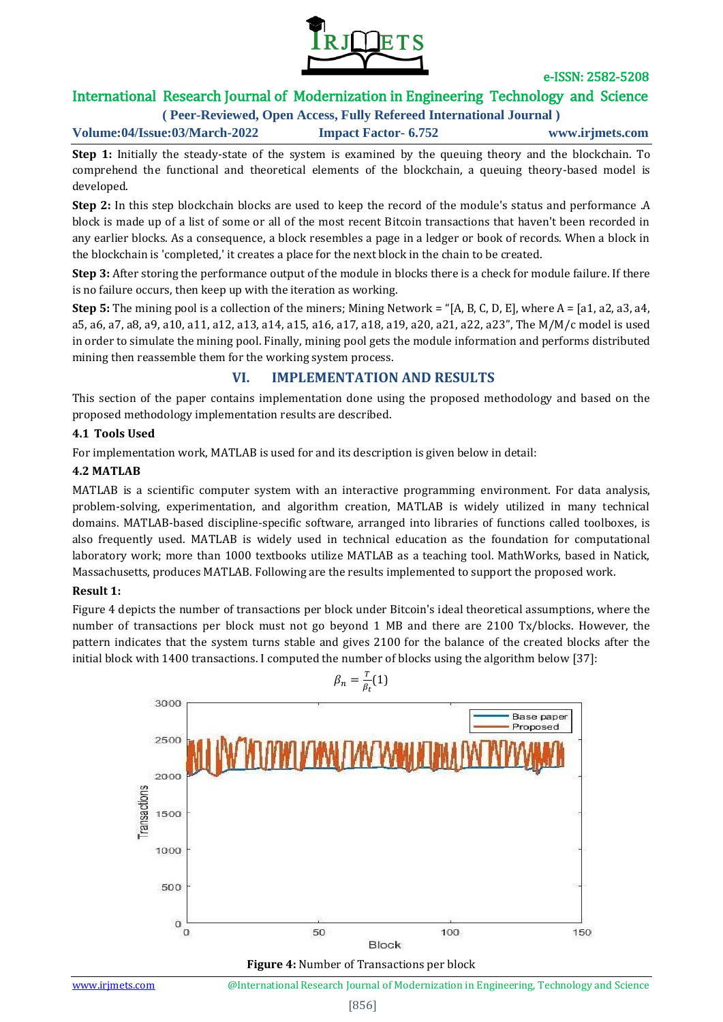

# International Research Journal of Modernization in Engineering Technology and Science

**( Peer-Reviewed, Open Access, Fully Refereed International Journal )**

**Volume:04/Issue:03/March-2022 Impact Factor- 6.752 www.irjmets.com**

**Step 1:** Initially the steady-state of the system is examined by the queuing theory and the blockchain. To comprehend the functional and theoretical elements of the blockchain, a queuing theory-based model is developed.

**Step 2:** In this step blockchain blocks are used to keep the record of the module's status and performance .A block is made up of a list of some or all of the most recent Bitcoin transactions that haven't been recorded in any earlier blocks. As a consequence, a block resembles a page in a ledger or book of records. When a block in the blockchain is 'completed,' it creates a place for the next block in the chain to be created.

**Step 3:** After storing the performance output of the module in blocks there is a check for module failure. If there is no failure occurs, then keep up with the iteration as working.

**Step 5:** The mining pool is a collection of the miners; Mining Network = "[A, B, C, D, E], where A = [a1, a2, a3, a4, a5, a6, a7, a8, a9, a10, a11, a12, a13, a14, a15, a16, a17, a18, a19, a20, a21, a22, a23", The M/M/c model is used in order to simulate the mining pool. Finally, mining pool gets the module information and performs distributed mining then reassemble them for the working system process.

### **VI. IMPLEMENTATION AND RESULTS**

This section of the paper contains implementation done using the proposed methodology and based on the proposed methodology implementation results are described.

#### **4.1 Tools Used**

For implementation work, MATLAB is used for and its description is given below in detail:

#### **4.2 MATLAB**

MATLAB is a scientific computer system with an interactive programming environment. For data analysis, problem-solving, experimentation, and algorithm creation, MATLAB is widely utilized in many technical domains. MATLAB-based discipline-specific software, arranged into libraries of functions called toolboxes, is also frequently used. MATLAB is widely used in technical education as the foundation for computational laboratory work; more than 1000 textbooks utilize MATLAB as a teaching tool. MathWorks, based in Natick, Massachusetts, produces MATLAB. Following are the results implemented to support the proposed work.

#### **Result 1:**

Figure 4 depicts the number of transactions per block under Bitcoin's ideal theoretical assumptions, where the number of transactions per block must not go beyond 1 MB and there are 2100 Tx/blocks. However, the pattern indicates that the system turns stable and gives 2100 for the balance of the created blocks after the initial block with 1400 transactions. I computed the number of blocks using the algorithm below [37]:



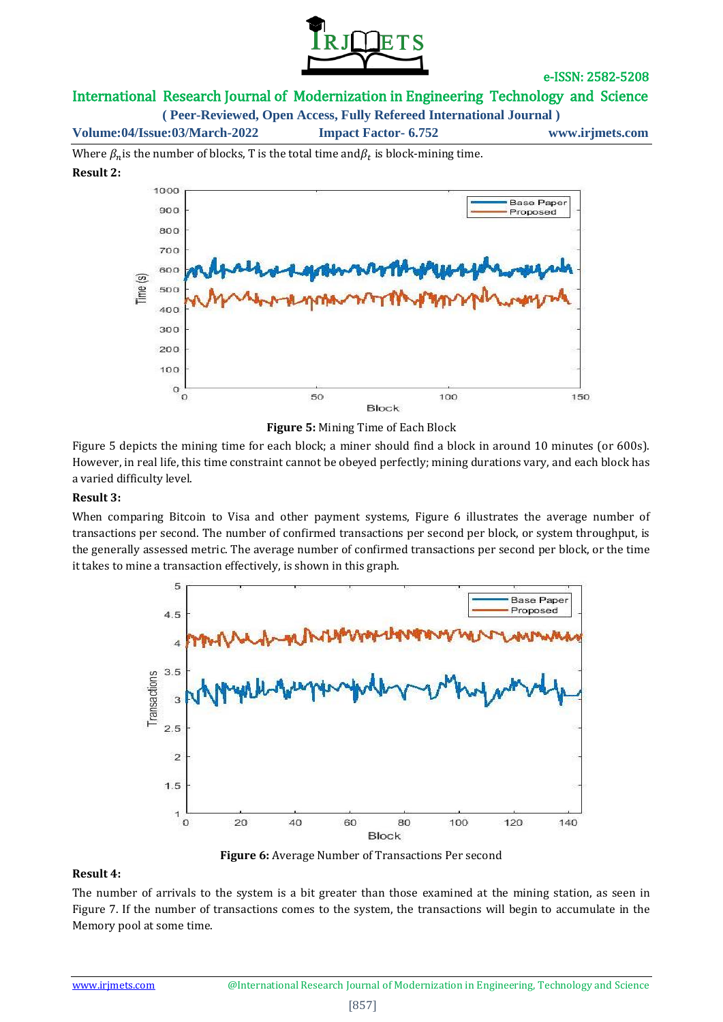

### International Research Journal of Modernization in Engineering Technology and Science

**( Peer-Reviewed, Open Access, Fully Refereed International Journal )**

**Volume:04/Issue:03/March-2022 Impact Factor- 6.752 www.irjmets.com**

Where  $\beta_n$  is the number of blocks, T is the total time and  $\beta_t$  is block-mining time. **Result 2:**



**Figure 5:** Mining Time of Each Block

Figure 5 depicts the mining time for each block; a miner should find a block in around 10 minutes (or 600s). However, in real life, this time constraint cannot be obeyed perfectly; mining durations vary, and each block has a varied difficulty level.

#### **Result 3:**

When comparing Bitcoin to Visa and other payment systems, Figure 6 illustrates the average number of transactions per second. The number of confirmed transactions per second per block, or system throughput, is the generally assessed metric. The average number of confirmed transactions per second per block, or the time it takes to mine a transaction effectively, is shown in this graph.



**Figure 6:** Average Number of Transactions Per second

#### **Result 4:**

The number of arrivals to the system is a bit greater than those examined at the mining station, as seen in Figure 7. If the number of transactions comes to the system, the transactions will begin to accumulate in the Memory pool at some time.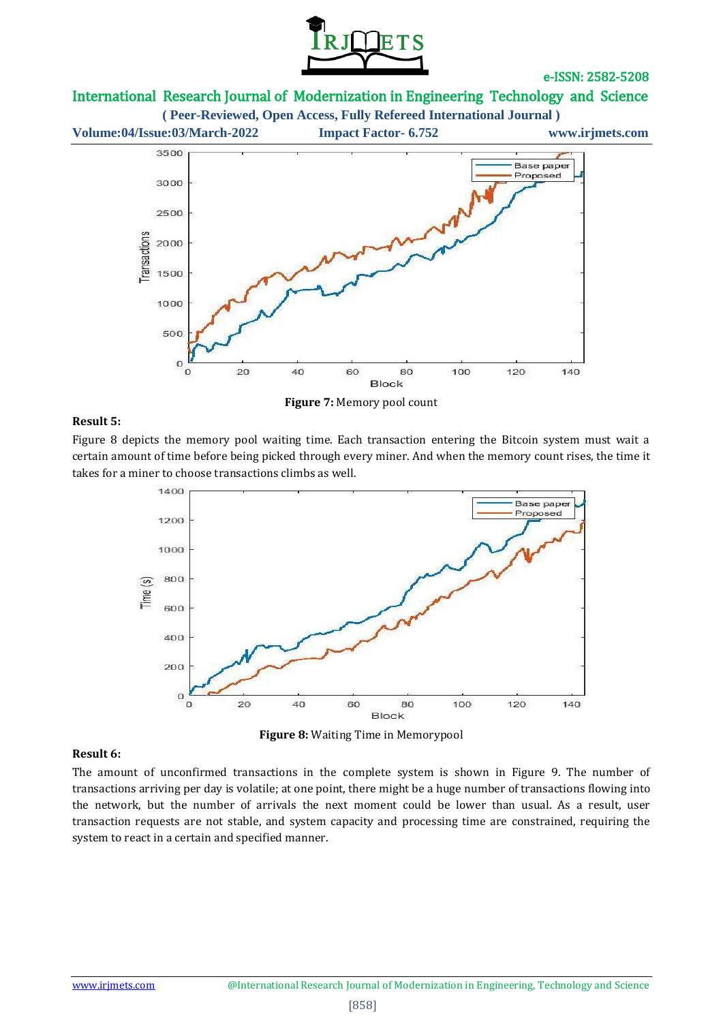

## International Research Journal of Modernization in Engineering Technology and Science



#### **Result 5:**

Figure 8 depicts the memory pool waiting time. Each transaction entering the Bitcoin system must wait a certain amount of time before being picked through every miner. And when the memory count rises, the time it takes for a miner to choose transactions climbs as well.



**Figure 8:** Waiting Time in Memorypool

#### **Result 6:**

The amount of unconfirmed transactions in the complete system is shown in Figure 9. The number of transactions arriving per day is volatile; at one point, there might be a huge number of transactions flowing into the network, but the number of arrivals the next moment could be lower than usual. As a result, user transaction requests are not stable, and system capacity and processing time are constrained, requiring the system to react in a certain and specified manner.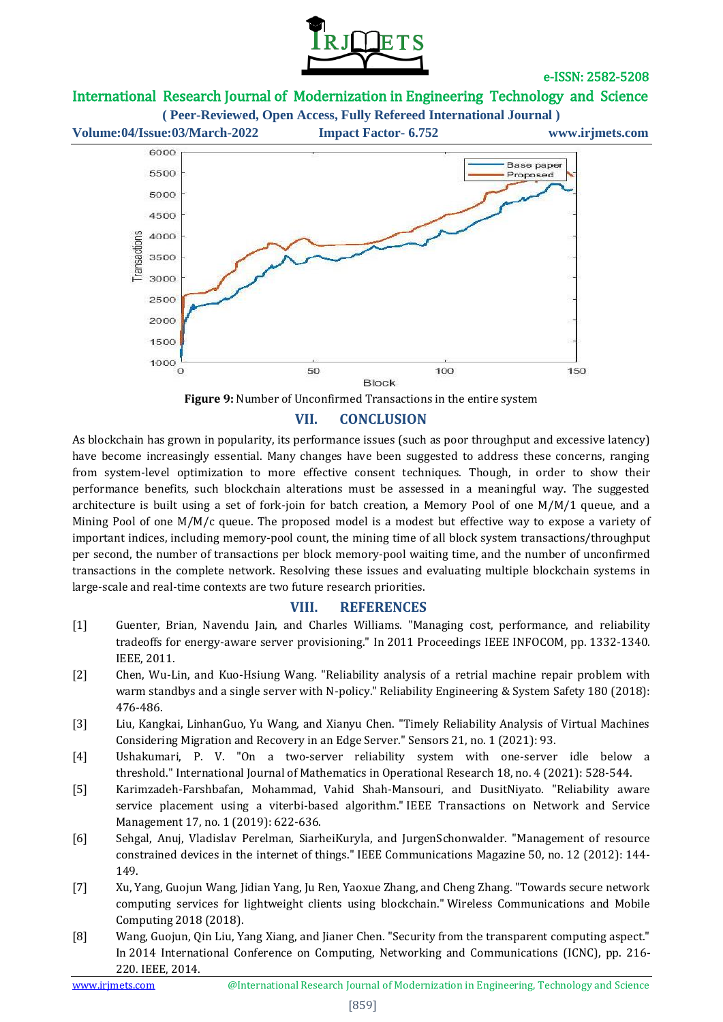

## International Research Journal of Modernization in Engineering Technology and Science





### **VII. CONCLUSION**

As blockchain has grown in popularity, its performance issues (such as poor throughput and excessive latency) have become increasingly essential. Many changes have been suggested to address these concerns, ranging from system-level optimization to more effective consent techniques. Though, in order to show their performance benefits, such blockchain alterations must be assessed in a meaningful way. The suggested architecture is built using a set of fork-join for batch creation, a Memory Pool of one M/M/1 queue, and a Mining Pool of one M/M/c queue. The proposed model is a modest but effective way to expose a variety of important indices, including memory-pool count, the mining time of all block system transactions/throughput per second, the number of transactions per block memory-pool waiting time, and the number of unconfirmed transactions in the complete network. Resolving these issues and evaluating multiple blockchain systems in large-scale and real-time contexts are two future research priorities.

#### **VIII. REFERENCES**

- [1] Guenter, Brian, Navendu Jain, and Charles Williams. "Managing cost, performance, and reliability tradeoffs for energy-aware server provisioning." In 2011 Proceedings IEEE INFOCOM, pp. 1332-1340. IEEE, 2011.
- [2] Chen, Wu-Lin, and Kuo-Hsiung Wang. "Reliability analysis of a retrial machine repair problem with warm standbys and a single server with N-policy." Reliability Engineering & System Safety 180 (2018): 476-486.
- [3] Liu, Kangkai, LinhanGuo, Yu Wang, and Xianyu Chen. "Timely Reliability Analysis of Virtual Machines Considering Migration and Recovery in an Edge Server." Sensors 21, no. 1 (2021): 93.
- [4] Ushakumari, P. V. "On a two-server reliability system with one-server idle below a threshold." International Journal of Mathematics in Operational Research 18, no. 4 (2021): 528-544.
- [5] Karimzadeh-Farshbafan, Mohammad, Vahid Shah-Mansouri, and DusitNiyato. "Reliability aware service placement using a viterbi-based algorithm." IEEE Transactions on Network and Service Management 17, no. 1 (2019): 622-636.
- [6] Sehgal, Anuj, Vladislav Perelman, SiarheiKuryla, and JurgenSchonwalder. "Management of resource constrained devices in the internet of things." IEEE Communications Magazine 50, no. 12 (2012): 144- 149.
- [7] Xu, Yang, Guojun Wang, Jidian Yang, Ju Ren, Yaoxue Zhang, and Cheng Zhang. "Towards secure network computing services for lightweight clients using blockchain." Wireless Communications and Mobile Computing 2018 (2018).
- [8] Wang, Guojun, Qin Liu, Yang Xiang, and Jianer Chen. "Security from the transparent computing aspect." In 2014 International Conference on Computing, Networking and Communications (ICNC), pp. 216- 220. IEEE, 2014.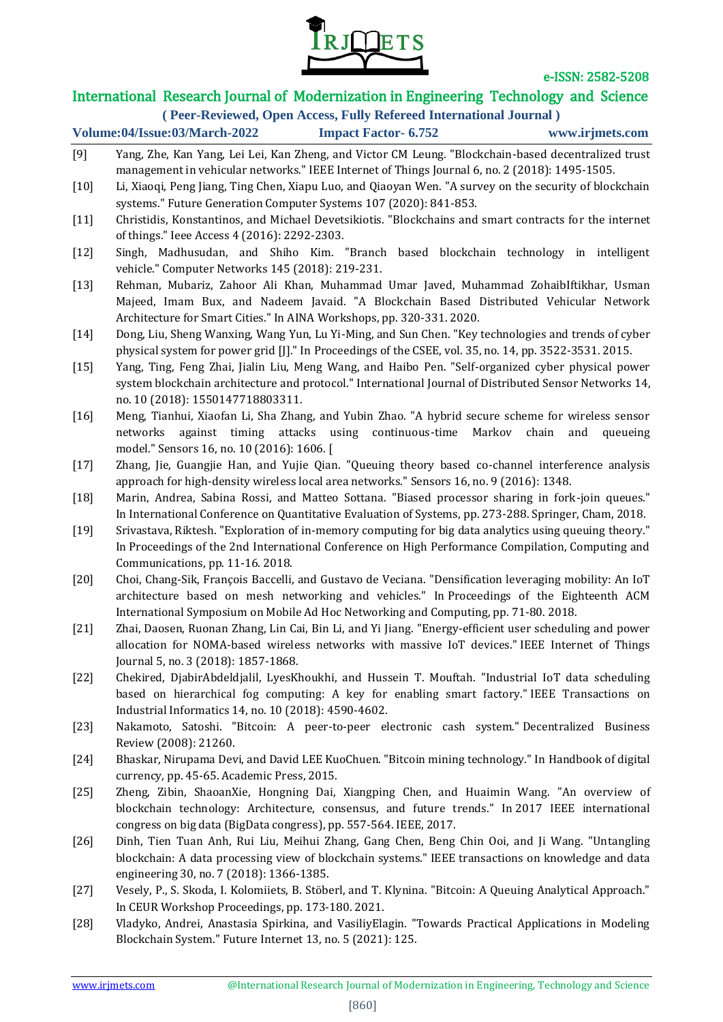

# International Research Journal of Modernization in Engineering Technology and Science

**( Peer-Reviewed, Open Access, Fully Refereed International Journal )**

### **Volume:04/Issue:03/March-2022 Impact Factor- 6.752 www.irjmets.com**

- [9] Yang, Zhe, Kan Yang, Lei Lei, Kan Zheng, and Victor CM Leung. "Blockchain-based decentralized trust management in vehicular networks." IEEE Internet of Things Journal 6, no. 2 (2018): 1495-1505. [10] Li, Xiaoqi, Peng Jiang, Ting Chen, Xiapu Luo, and Qiaoyan Wen. "A survey on the security of blockchain systems." Future Generation Computer Systems 107 (2020): 841-853. [11] Christidis, Konstantinos, and Michael Devetsikiotis. "Blockchains and smart contracts for the internet of things." Ieee Access 4 (2016): 2292-2303. [12] Singh, Madhusudan, and Shiho Kim. "Branch based blockchain technology in intelligent vehicle." Computer Networks 145 (2018): 219-231. [13] Rehman, Mubariz, Zahoor Ali Khan, Muhammad Umar Javed, Muhammad ZohaibIftikhar, Usman Majeed, Imam Bux, and Nadeem Javaid. "A Blockchain Based Distributed Vehicular Network Architecture for Smart Cities." In AINA Workshops, pp. 320-331. 2020. [14] Dong, Liu, Sheng Wanxing, Wang Yun, Lu Yi-Ming, and Sun Chen. "Key technologies and trends of cyber physical system for power grid [J]." In Proceedings of the CSEE, vol. 35, no. 14, pp. 3522-3531. 2015. [15] Yang, Ting, Feng Zhai, Jialin Liu, Meng Wang, and Haibo Pen. "Self-organized cyber physical power system blockchain architecture and protocol." International Journal of Distributed Sensor Networks 14, no. 10 (2018): 1550147718803311. [16] Meng, Tianhui, Xiaofan Li, Sha Zhang, and Yubin Zhao. "A hybrid secure scheme for wireless sensor networks against timing attacks using continuous-time Markov chain and queueing model." Sensors 16, no. 10 (2016): 1606. [ [17] Zhang, Jie, Guangjie Han, and Yujie Qian. "Queuing theory based co-channel interference analysis approach for high-density wireless local area networks." Sensors 16, no. 9 (2016): 1348. [18] Marin, Andrea, Sabina Rossi, and Matteo Sottana. "Biased processor sharing in fork-join queues." In International Conference on Quantitative Evaluation of Systems, pp. 273-288. Springer, Cham, 2018. [19] Srivastava, Riktesh. "Exploration of in-memory computing for big data analytics using queuing theory." In Proceedings of the 2nd International Conference on High Performance Compilation, Computing and Communications, pp. 11-16. 2018. [20] Choi, Chang-Sik, François Baccelli, and Gustavo de Veciana. "Densification leveraging mobility: An IoT architecture based on mesh networking and vehicles." In Proceedings of the Eighteenth ACM International Symposium on Mobile Ad Hoc Networking and Computing, pp. 71-80. 2018. [21] Zhai, Daosen, Ruonan Zhang, Lin Cai, Bin Li, and Yi Jiang. "Energy-efficient user scheduling and power allocation for NOMA-based wireless networks with massive IoT devices." IEEE Internet of Things Journal 5, no. 3 (2018): 1857-1868. [22] Chekired, DjabirAbdeldjalil, LyesKhoukhi, and Hussein T. Mouftah. "Industrial IoT data scheduling based on hierarchical fog computing: A key for enabling smart factory." IEEE Transactions on Industrial Informatics 14, no. 10 (2018): 4590-4602. [23] Nakamoto, Satoshi. "Bitcoin: A peer-to-peer electronic cash system." Decentralized Business Review (2008): 21260. [24] Bhaskar, Nirupama Devi, and David LEE KuoChuen. "Bitcoin mining technology." In Handbook of digital currency, pp. 45-65. Academic Press, 2015. [25] Zheng, Zibin, ShaoanXie, Hongning Dai, Xiangping Chen, and Huaimin Wang. "An overview of blockchain technology: Architecture, consensus, and future trends." In 2017 IEEE international congress on big data (BigData congress), pp. 557-564. IEEE, 2017. [26] Dinh, Tien Tuan Anh, Rui Liu, Meihui Zhang, Gang Chen, Beng Chin Ooi, and Ji Wang. "Untangling blockchain: A data processing view of blockchain systems." IEEE transactions on knowledge and data engineering 30, no. 7 (2018): 1366-1385. [27] Vesely, P., S. Skoda, I. Kolomiiets, B. Stöberl, and T. Klynina. "Bitcoin: A Queuing Analytical Approach." In CEUR Workshop Proceedings, pp. 173-180. 2021.
- [28] Vladyko, Andrei, Anastasia Spirkina, and VasiliyElagin. "Towards Practical Applications in Modeling Blockchain System." Future Internet 13, no. 5 (2021): 125.